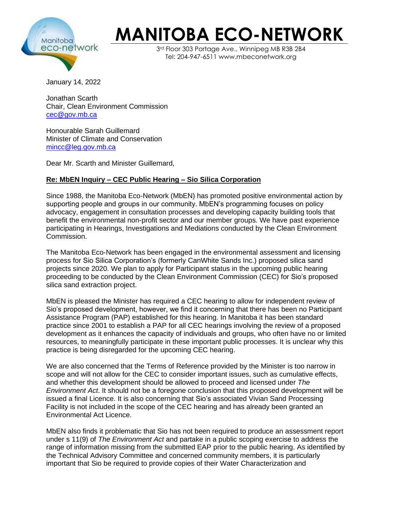

## **MANITOBA ECO-NETWORK**

 $3<sup>rd</sup>$  Floor 303 Portage Ave., Winnipeg MB R3B 2B4 Tel: 204-947-6511 www.mbeconetwork.org

January 14, 2022

Jonathan Scarth Chair, Clean Environment Commission [cec@gov.mb.ca](mailto:cec@gov.mb.ca)

Honourable Sarah Guillemard Minister of Climate and Conservation [mincc@leg.gov.mb.ca](mailto:mincc@leg.gov.mb.ca)

Dear Mr. Scarth and Minister Guillemard,

## **Re: MbEN Inquiry – CEC Public Hearing – Sio Silica Corporation**

Since 1988, the Manitoba Eco-Network (MbEN) has promoted positive environmental action by supporting people and groups in our community. MbEN's programming focuses on policy advocacy, engagement in consultation processes and developing capacity building tools that benefit the environmental non-profit sector and our member groups. We have past experience participating in Hearings, Investigations and Mediations conducted by the Clean Environment Commission.

The Manitoba Eco-Network has been engaged in the environmental assessment and licensing process for Sio Silica Corporation's (formerly CanWhite Sands Inc.) proposed silica sand projects since 2020. We plan to apply for Participant status in the upcoming public hearing proceeding to be conducted by the Clean Environment Commission (CEC) for Sio's proposed silica sand extraction project.

MbEN is pleased the Minister has required a CEC hearing to allow for independent review of Sio's proposed development, however, we find it concerning that there has been no Participant Assistance Program (PAP) established for this hearing. In Manitoba it has been standard practice since 2001 to establish a PAP for all CEC hearings involving the review of a proposed development as it enhances the capacity of individuals and groups, who often have no or limited resources, to meaningfully participate in these important public processes. It is unclear why this practice is being disregarded for the upcoming CEC hearing.

We are also concerned that the Terms of Reference provided by the Minister is too narrow in scope and will not allow for the CEC to consider important issues, such as cumulative effects, and whether this development should be allowed to proceed and licensed under *The Environment Act*. It should not be a foregone conclusion that this proposed development will be issued a final Licence. It is also concerning that Sio's associated Vivian Sand Processing Facility is not included in the scope of the CEC hearing and has already been granted an Environmental Act Licence.

MbEN also finds it problematic that Sio has not been required to produce an assessment report under s 11(9) of *The Environment Act* and partake in a public scoping exercise to address the range of information missing from the submitted EAP prior to the public hearing. As identified by the Technical Advisory Committee and concerned community members, it is particularly important that Sio be required to provide copies of their Water Characterization and